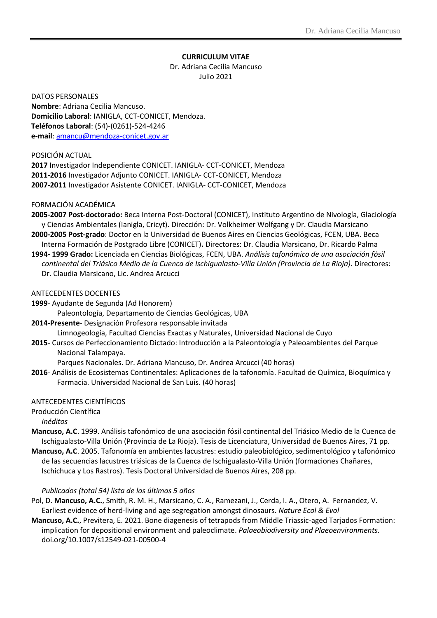# **CURRICULUM VITAE**

# Dr. Adriana Cecilia Mancuso Julio 2021

DATOS PERSONALES **Nombre**: Adriana Cecilia Mancuso. **Domicilio Laboral**: IANIGLA, CCT-CONICET, Mendoza. **Teléfonos Laboral**: (54)-(0261)-524-4246 **e-mail**[: amancu@mendoza-conicet.gov.ar](mailto:amancu@mendoza-conicet.gov.ar)

#### POSICIÓN ACTUAL

**2017** Investigador Independiente CONICET. IANIGLA- CCT-CONICET, Mendoza **2011-2016** Investigador Adjunto CONICET. IANIGLA- CCT-CONICET, Mendoza **2007-2011** Investigador Asistente CONICET. IANIGLA- CCT-CONICET, Mendoza

## FORMACIÓN ACADÉMICA

- **2005-2007 Post-doctorado:** Beca Interna Post-Doctoral (CONICET), Instituto Argentino de Nivología, Glaciología y Ciencias Ambientales (Ianigla, Cricyt). Dirección: Dr. Volkheimer Wolfgang y Dr. Claudia Marsicano
- **2000-2005 Post-grado**: Doctor en la Universidad de Buenos Aires en Ciencias Geológicas, FCEN, UBA. Beca Interna Formación de Postgrado Libre (CONICET)**.** Directores: Dr. Claudia Marsicano, Dr. Ricardo Palma
- **1994- 1999 Grado:** Licenciada en Ciencias Biológicas, FCEN, UBA. *Análisis tafonómico de una asociación fósil continental del Triásico Medio de la Cuenca de Ischigualasto-Villa Unión (Provincia de La Rioja)*. Directores: Dr. Claudia Marsicano, Lic. Andrea Arcucci

#### ANTECEDENTES DOCENTES

**1999**- Ayudante de Segunda (Ad Honorem)

Paleontología, Departamento de Ciencias Geológicas, UBA

**2014-Presente**- Designación Profesora responsable invitada

Limnogeología, Facultad Ciencias Exactas y Naturales, Universidad Nacional de Cuyo

**2015**- Cursos de Perfeccionamiento Dictado: Introducción a la Paleontología y Paleoambientes del Parque Nacional Talampaya.

Parques Nacionales. Dr. Adriana Mancuso, Dr. Andrea Arcucci (40 horas)

**2016**- Análisis de Ecosistemas Continentales: Aplicaciones de la tafonomía. Facultad de Química, Bioquímica y Farmacia. Universidad Nacional de San Luis. (40 horas)

#### ANTECEDENTES CIENTÍFICOS

Producción Científica

*Inéditos* 

- **Mancuso, A.C**. 1999. Análisis tafonómico de una asociación fósil continental del Triásico Medio de la Cuenca de Ischigualasto-Villa Unión (Provincia de La Rioja). Tesis de Licenciatura, Universidad de Buenos Aires, 71 pp.
- **Mancuso, A.C**. 2005. Tafonomía en ambientes lacustres: estudio paleobiológico, sedimentológico y tafonómico de las secuencias lacustres triásicas de la Cuenca de Ischigualasto-Villa Unión (formaciones Chañares, Ischichuca y Los Rastros). Tesis Doctoral Universidad de Buenos Aires, 208 pp.

#### *Publicados (total 54) lista de los últimos 5 años*

- Pol, D. **Mancuso, A.C.**, Smith, R. M. H., Marsicano, C. A., Ramezani, J., Cerda, I. A., Otero, A. Fernandez, V. Earliest evidence of herd-living and age segregation amongst dinosaurs. *Nature Ecol & Evol*
- **Mancuso, A.C.**, Previtera, E. 2021. Bone diagenesis of tetrapods from Middle Triassic-aged Tarjados Formation: implication for depositional environment and paleoclimate. *Palaeobiodiversity and Plaeoenvironments.* doi.org/10.1007/s12549-021-00500-4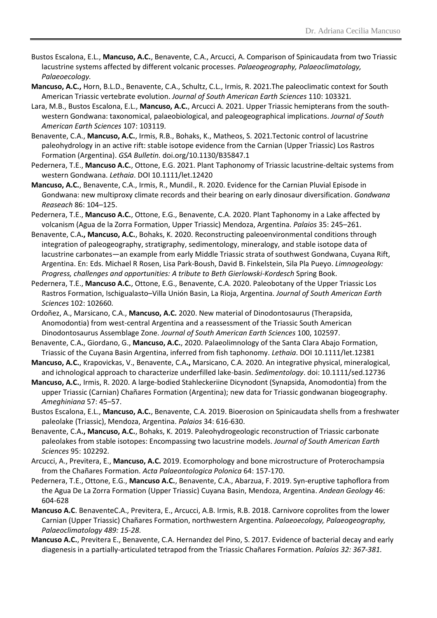- Bustos Escalona, E.L., **Mancuso, A.C.**, Benavente, C.A., Arcucci, A. Comparison of Spinicaudata from two Triassic lacustrine systems affected by different volcanic processes. *Palaeogeography, Palaeoclimatology, Palaeoecology.*
- **Mancuso, A.C.,** Horn, B.L.D., Benavente, C.A., Schultz, C.L., Irmis, R. 2021.The paleoclimatic context for South American Triassic vertebrate evolution. *Journal of South American Earth Sciences* 110: 103321*.*
- Lara, M.B., Bustos Escalona, E.L., **Mancuso, A.C.**, Arcucci A. 2021. Upper Triassic hemipterans from the southwestern Gondwana: taxonomical, palaeobiological, and paleogeographical implications. *Journal of South American Earth Sciences* 107: 103119*.*
- Benavente, C.A., **Mancuso, A.C.**, Irmis, R.B., Bohaks, K., Matheos, S. 2021.Tectonic control of lacustrine paleohydrology in an active rift: stable isotope evidence from the Carnian (Upper Triassic) Los Rastros Formation (Argentina). *GSA Bulletin.* doi.org/10.1130/B35847.1
- Pedernera, T.E., **Mancuso A.C.**, Ottone, E.G. 2021. Plant Taphonomy of Triassic lacustrine-deltaic systems from western Gondwana. *Lethaia*. DOI 10.1111/let.12420
- **Mancuso, A.C.**, Benavente, C.A., Irmis, R., Mundil., R. 2020. Evidence for the Carnian Pluvial Episode in Gondwana: new multiproxy climate records and their bearing on early dinosaur diversification. *Gondwana Reaseach* 86: 104–125.
- Pedernera, T.E., **Mancuso A.C.**, Ottone, E.G., Benavente, C.A. 2020. Plant Taphonomy in a Lake affected by volcanism (Agua de la Zorra Formation, Upper Triassic) Mendoza, Argentina. *Palaios* 35: 245–261.
- Benavente, C.A**., Mancuso, A.C.**, Bohaks, K. 2020. Reconstructing paleoenvironmental conditions through integration of paleogeography, stratigraphy, sedimentology, mineralogy, and stable isotope data of lacustrine carbonates—an example from early Middle Triassic strata of southwest Gondwana, Cuyana Rift, Argentina. En: Eds. Michael R Rosen, Lisa Park-Boush, David B. Finkelstein, Sila Pla Pueyo. *Limnogeology: Progress, challenges and opportunities: A tribute to Beth Gierlowski-Kordesch* Spring Book.
- Pedernera, T.E., **Mancuso A.C.**, Ottone, E.G., Benavente, C.A. 2020. Paleobotany of the Upper Triassic Los Rastros Formation, Ischigualasto–Villa Unión Basin, La Rioja, Argentina. *Journal of South American Earth Sciences* 102: 102660*.*
- Ordoñez, A., Marsicano, C.A., **Mancuso, A.C.** 2020. New material of Dinodontosaurus (Therapsida, Anomodontia) from west-central Argentina and a reassessment of the Triassic South American Dinodontosaurus Assemblage Zone. *Journal of South American Earth Sciences* 100, 102597.
- Benavente, C.A**.**, Giordano, G., **Mancuso, A.C.**, 2020. Palaeolimnology of the Santa Clara Abajo Formation, Triassic of the Cuyana Basin Argentina, inferred from fish taphonomy. *Lethaia*. DOI 10.1111/let.12381
- **Mancuso, A.C.**, Krapovickas, V., Benavente, C.A**.,** Marsicano, C.A. 2020. An integrative physical, mineralogical, and ichnological approach to characterize underfilled lake-basin. *Sedimentology*. doi: 10.1111/sed.12736
- **Mancuso, A.C.**, Irmis, R. 2020. A large-bodied Stahleckeriine Dicynodont (Synapsida, Anomodontia) from the upper Triassic (Carnian) Chañares Formation (Argentina); new data for Triassic gondwanan biogeography. *Ameghiniana* 57: 45–57.
- Bustos Escalona, E.L., **Mancuso, A.C.**, Benavente, C.A. 2019. Bioerosion on Spinicaudata shells from a freshwater paleolake (Triassic), Mendoza, Argentina. *Palaios* 34: 616-630.
- Benavente, C.A**., Mancuso, A.C.**, Bohaks, K. 2019. Paleohydrogeologic reconstruction of Triassic carbonate paleolakes from stable isotopes: Encompassing two lacustrine models. *Journal of South American Earth Sciences* 95: 102292*.*
- Arcucci, A., Previtera, E., **Mancuso, A.C.** 2019. Ecomorphology and bone microstructure of Proterochampsia from the Chañares Formation. *Acta Palaeontologica Polonica* 64: 157-170.
- Pedernera, T.E., Ottone, E.G., **Mancuso A.C.**, Benavente, C.A., Abarzua, F. 2019. Syn-eruptive taphoflora from the Agua De La Zorra Formation (Upper Triassic) Cuyana Basin, Mendoza, Argentina. *Andean Geology* 46: 604-628
- **Mancuso A.C**. BenaventeC.A., Previtera, E., Arcucci, A.B. Irmis, R.B. 2018. Carnivore coprolites from the lower Carnian (Upper Triassic) Chañares Formation, northwestern Argentina. *Palaeoecology, Palaeogeography, Palaeoclimatology 489: 15-28.*
- **Mancuso A.C.**, Previtera E., Benavente, C.A. Hernandez del Pino, S. 2017. Evidence of bacterial decay and early diagenesis in a partially-articulated tetrapod from the Triassic Chañares Formation. *Palaios 32: 367-381.*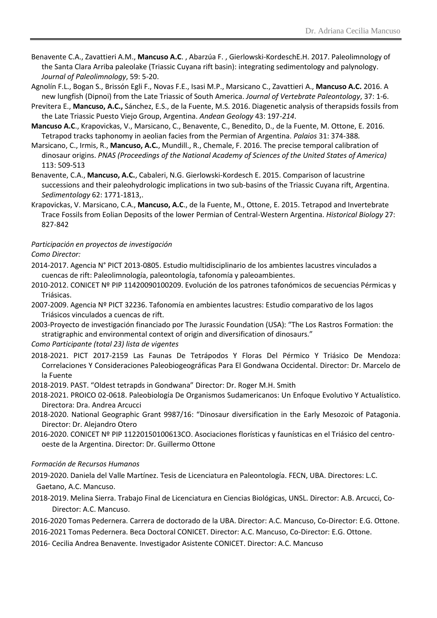- Benavente C.A., Zavattieri A.M., **Mancuso A.C**. , Abarzúa F. , Gierlowski-KordeschE.H. 2017. Paleolimnology of the Santa Clara Arriba paleolake (Triassic Cuyana rift basin): integrating sedimentology and palynology. *Journal of Paleolimnology*, 59: 5-20.
- Agnolín F.L., Bogan S., Brissón Egli F., Novas F.E., Isasi M.P., Marsicano C., Zavattieri A., **Mancuso A.C.** 2016. A new lungfish (Dipnoi) from the Late Triassic of South America. *Journal of Vertebrate Paleontology*, 37: 1-6.
- Previtera E., **Mancuso, A.C.,** Sánchez, E.S., de la Fuente, M.S. 2016. Diagenetic analysis of therapsids fossils from the Late Triassic Puesto Viejo Group, Argentina. *Andean Geology* 43: 197-*214*.
- **Mancuso A.C**., Krapovickas, V., Marsicano, C., Benavente, C., Benedito, D., de la Fuente, M. Ottone, E. 2016. Tetrapod tracks taphonomy in aeolian facies from the Permian of Argentina. *Palaios* 31: 374-388*.*
- Marsicano, C., Irmis, R., **Mancuso, A.C.**, Mundill., R., Chemale, F. 2016. The precise temporal calibration of dinosaur origins. *PNAS (Proceedings of the National Academy of Sciences of the United States of America)* 113: 509-513
- Benavente, C.A., **Mancuso, A.C.**, Cabaleri, N.G. Gierlowski-Kordesch E. 2015. Comparison of lacustrine successions and their paleohydrologic implications in two sub-basins of the Triassic Cuyana rift, Argentina. *Sedimentology* 62: 1771-1813,.
- Krapovickas, V. Marsicano, C.A., **Mancuso, A.C**., de la Fuente, M., Ottone, E. 2015. Tetrapod and Invertebrate Trace Fossils from Eolian Deposits of the lower Permian of Central-Western Argentina. *Historical Biology* 27: 827-842

# *Participación en proyectos de investigación*

*Como Director:*

- 2014-2017. Agencia N° PICT 2013-0805. Estudio multidisciplinario de los ambientes lacustres vinculados a cuencas de rift: Paleolimnología, paleontología, tafonomía y paleoambientes.
- 2010-2012. CONICET Nº PIP 11420090100209. Evolución de los patrones tafonómicos de secuencias Pérmicas y Triásicas.
- 2007-2009. Agencia Nº PICT 32236. Tafonomía en ambientes lacustres: Estudio comparativo de los lagos Triásicos vinculados a cuencas de rift.
- 2003-Proyecto de investigación financiado por The Jurassic Foundation (USA): "The Los Rastros Formation: the stratigraphic and environmental context of origin and diversification of dinosaurs."

*Como Participante (total 23) lista de vigentes*

- 2018-2021. PICT 2017-2159 Las Faunas De Tetrápodos Y Floras Del Pérmico Y Triásico De Mendoza: Correlaciones Y Consideraciones Paleobiogeográficas Para El Gondwana Occidental. Director: Dr. Marcelo de la Fuente
- 2018-2019. PAST. "Oldest tetrapds in Gondwana" Director: Dr. Roger M.H. Smith
- 2018-2021. PROICO 02-0618. Paleobiología De Organismos Sudamericanos: Un Enfoque Evolutivo Y Actualístico. Directora: Dra. Andrea Arcucci
- 2018-2020. National Geographic Grant 9987/16: "Dinosaur diversification in the Early Mesozoic of Patagonia. Director: Dr. Alejandro Otero
- 2016-2020. CONICET Nº PIP 11220150100613CO. Asociaciones florísticas y faunísticas en el Triásico del centrooeste de la Argentina. Director: Dr. Guillermo Ottone

# *Formación de Recursos Humanos*

- 2019-2020. Daniela del Valle Martínez. Tesis de Licenciatura en Paleontología. FECN, UBA. Directores: L.C. Gaetano, A.C. Mancuso.
- 2018-2019. Melina Sierra. Trabajo Final de Licenciatura en Ciencias Biológicas, UNSL. Director: A.B. Arcucci, Co-Director: A.C. Mancuso.
- 2016-2020 Tomas Pedernera. Carrera de doctorado de la UBA. Director: A.C. Mancuso, Co-Director: E.G. Ottone.
- 2016-2021 Tomas Pedernera. Beca Doctoral CONICET. Director: A.C. Mancuso, Co-Director: E.G. Ottone.
- 2016- Cecilia Andrea Benavente. Investigador Asistente CONICET. Director: A.C. Mancuso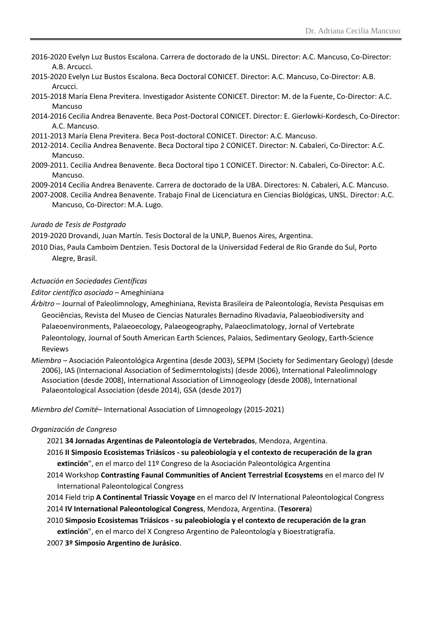- 2016-2020 Evelyn Luz Bustos Escalona. Carrera de doctorado de la UNSL. Director: A.C. Mancuso, Co-Director: A.B. Arcucci.
- 2015-2020 Evelyn Luz Bustos Escalona. Beca Doctoral CONICET. Director: A.C. Mancuso, Co-Director: A.B. Arcucci.
- 2015-2018 María Elena Previtera. Investigador Asistente CONICET. Director: M. de la Fuente, Co-Director: A.C. Mancuso
- 2014-2016 Cecilia Andrea Benavente. Beca Post-Doctoral CONICET. Director: E. Gierlowki-Kordesch, Co-Director: A.C. Mancuso.
- 2011-2013 María Elena Previtera. Beca Post-doctoral CONICET. Director: A.C. Mancuso.
- 2012-2014. Cecilia Andrea Benavente. Beca Doctoral tipo 2 CONICET. Director: N. Cabaleri, Co-Director: A.C. Mancuso.
- 2009-2011. Cecilia Andrea Benavente. Beca Doctoral tipo 1 CONICET. Director: N. Cabaleri, Co-Director: A.C. Mancuso.
- 2009-2014 Cecilia Andrea Benavente. Carrera de doctorado de la UBA. Directores: N. Cabaleri, A.C. Mancuso.
- 2007-2008. Cecilia Andrea Benavente. Trabajo Final de Licenciatura en Ciencias Biológicas, UNSL. Director: A.C. Mancuso, Co-Director: M.A. Lugo.

# *Jurado de Tesis de Postgrado*

2019-2020 Drovandi, Juan Martín. Tesis Doctoral de la UNLP, Buenos Aires, Argentina.

2010 Dias, Paula Camboim Dentzien. Tesis Doctoral de la Universidad Federal de Rio Grande do Sul, Porto Alegre, Brasil.

# *Actuación en Sociedades Científicas*

*Editor científico asociado* – Ameghiniana

- *Árbitro* Journal of Paleolimnology, Ameghiniana, Revista Brasileira de Paleontología, Revista Pesquisas em Geociências, Revista del Museo de Ciencias Naturales Bernadino Rivadavia, Palaeobiodiversity and Palaeoenvironments, Palaeoecology, Palaeogeography, Palaeoclimatology, Jornal of Vertebrate Paleontology, Journal of South American Earth Sciences, Palaios, Sedimentary Geology, Earth-Science Reviews
- *Miembro* Asociación Paleontológica Argentina (desde 2003), SEPM (Society for Sedimentary Geology) (desde 2006), IAS (Internacional Association of Sedimerntologists) (desde 2006), International Paleolimnology Association (desde 2008), International Association of Limnogeology (desde 2008), International Palaeontological Association (desde 2014), GSA (desde 2017)

*Miembro del Comité*– International Association of Limnogeology (2015-2021)

#### *Organización de Congreso*

2021 **34 Jornadas Argentinas de Paleontología de Vertebrados**, Mendoza, Argentina.

- 2016 **II Simposio Ecosistemas Triásicos - su paleobiología y el contexto de recuperación de la gran extinción**", en el marco del 11º Congreso de la Asociación Paleontológica Argentina
- 2014 Workshop **Contrasting Faunal Communities of Ancient Terrestrial Ecosystems** en el marco del IV International Paleontological Congress
- 2014 Field trip **A Continental Triassic Voyage** en el marco del IV International Paleontological Congress 2014 **IV International Paleontological Congress**, Mendoza, Argentina. (**Tesorera**)
- 2010 **Simposio Ecosistemas Triásicos - su paleobiología y el contexto de recuperación de la gran**

**extinción**", en el marco del X Congreso Argentino de Paleontología y Bioestratigrafía.

2007 **3º Simposio Argentino de Jurásico**.